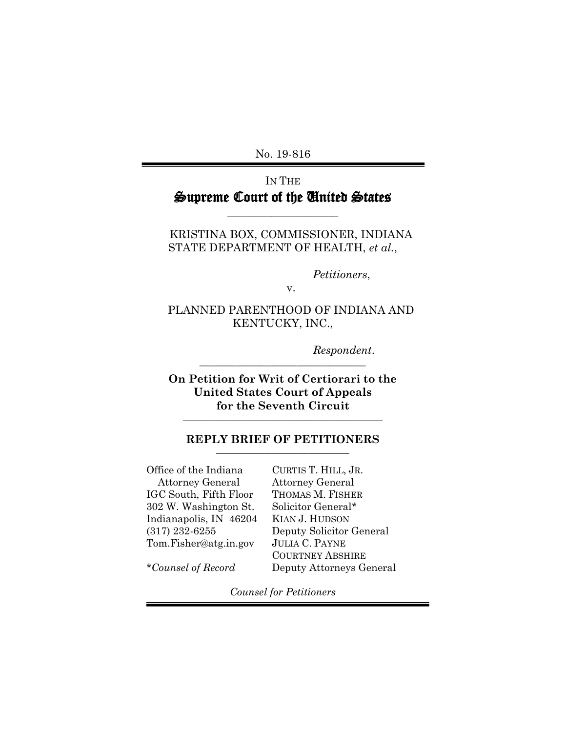No. 19-816

## IN THE Supreme Court of the United States

\_\_\_\_\_\_\_\_\_\_\_\_\_\_\_\_\_\_\_\_

KRISTINA BOX, COMMISSIONER, INDIANA STATE DEPARTMENT OF HEALTH, *et al.*,

*Petitioners*,

v.

PLANNED PARENTHOOD OF INDIANA AND KENTUCKY, INC.,

*Respondent*.

**On Petition for Writ of Certiorari to the United States Court of Appeals for the Seventh Circuit \_\_\_\_\_\_\_\_\_\_\_\_\_\_\_\_\_\_\_\_\_\_\_\_\_\_\_\_\_\_\_\_\_\_\_\_** 

**\_\_\_\_\_\_\_\_\_\_\_\_\_\_\_\_\_\_\_\_\_\_\_\_\_\_\_\_\_\_\_\_\_\_\_\_** 

#### **REPLY BRIEF OF PETITIONERS \_\_\_\_\_\_\_\_\_\_\_\_\_\_\_\_\_\_\_\_\_\_\_\_\_\_\_\_\_\_\_\_\_\_\_\_**

Office of the Indiana Attorney General IGC South, Fifth Floor 302 W. Washington St. Indianapolis, IN 46204 (317) 232-6255 Tom.Fisher@atg.in.gov

CURTIS T. HILL, JR. Attorney General THOMAS M. FISHER Solicitor General\* KIAN J. HUDSON Deputy Solicitor General JULIA C. PAYNE COURTNEY ABSHIRE Deputy Attorneys General

\**Counsel of Record*

*Counsel for Petitioners*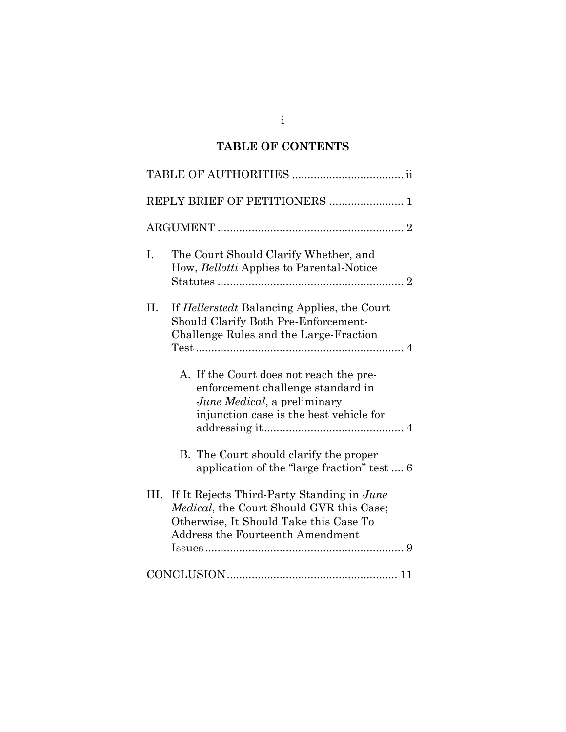# **TABLE OF CONTENTS**

|    | REPLY BRIEF OF PETITIONERS  1                                                                                                                                                |  |
|----|------------------------------------------------------------------------------------------------------------------------------------------------------------------------------|--|
|    |                                                                                                                                                                              |  |
| I. | The Court Should Clarify Whether, and<br>How, Bellotti Applies to Parental-Notice                                                                                            |  |
| П. | If <i>Hellerstedt</i> Balancing Applies, the Court<br>Should Clarify Both Pre-Enforcement-<br>Challenge Rules and the Large-Fraction                                         |  |
|    | A. If the Court does not reach the pre-<br>enforcement challenge standard in<br>June Medical, a preliminary<br>injunction case is the best vehicle for                       |  |
|    | B. The Court should clarify the proper<br>application of the "large fraction" test  6                                                                                        |  |
| Ш. | If It Rejects Third-Party Standing in June<br><i>Medical</i> , the Court Should GVR this Case;<br>Otherwise, It Should Take this Case To<br>Address the Fourteenth Amendment |  |
|    |                                                                                                                                                                              |  |

i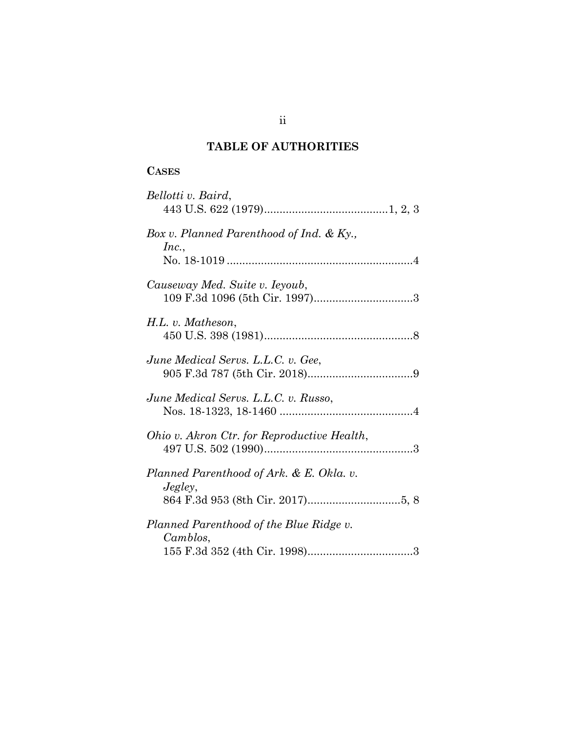# **TABLE OF AUTHORITIES**

## **CASES**

| Bellotti v. Baird,                                   |
|------------------------------------------------------|
| Box v. Planned Parenthood of Ind. $\&$ Ky.,<br>Inc., |
| Causeway Med. Suite v. Ieyoub,                       |
| H.L. v. Matheson,                                    |
| June Medical Servs. L.L.C. v. Gee,                   |
| June Medical Servs. L.L.C. v. Russo,                 |
| Ohio v. Akron Ctr. for Reproductive Health,          |
| Planned Parenthood of Ark. & E. Okla. v.<br>Jegley,  |
| Planned Parenthood of the Blue Ridge v.<br>Camblos,  |
|                                                      |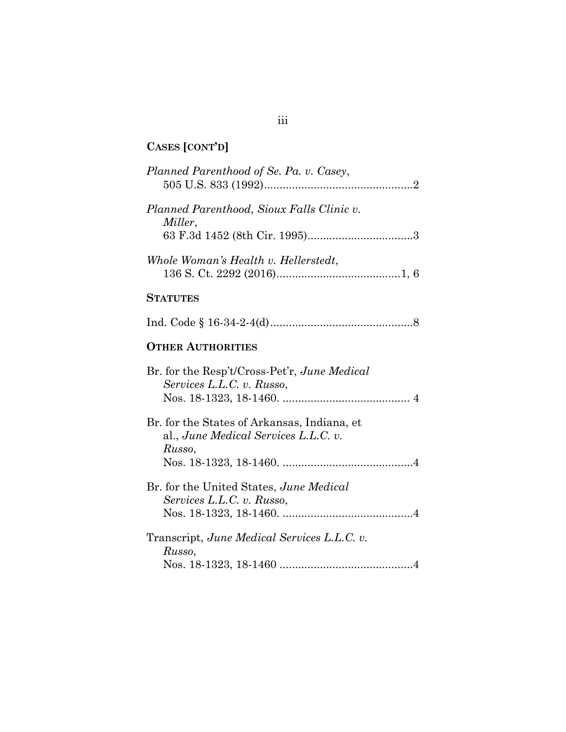# **CASES [CONT'D]**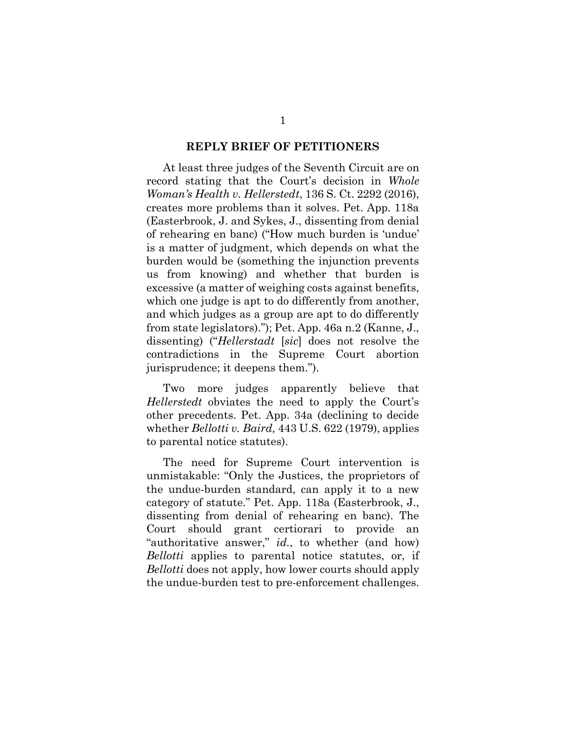#### **REPLY BRIEF OF PETITIONERS**

At least three judges of the Seventh Circuit are on record stating that the Court's decision in *Whole Woman's Health v. Hellerstedt*, 136 S. Ct. 2292 (2016), creates more problems than it solves. Pet. App. 118a (Easterbrook, J. and Sykes, J., dissenting from denial of rehearing en banc) ("How much burden is 'undue' is a matter of judgment, which depends on what the burden would be (something the injunction prevents us from knowing) and whether that burden is excessive (a matter of weighing costs against benefits, which one judge is apt to do differently from another, and which judges as a group are apt to do differently from state legislators)."); Pet. App. 46a n.2 (Kanne, J., dissenting) ("*Hellerstadt* [*sic*] does not resolve the contradictions in the Supreme Court abortion jurisprudence; it deepens them.").

Two more judges apparently believe that *Hellerstedt* obviates the need to apply the Court's other precedents. Pet. App. 34a (declining to decide whether *Bellotti v. Baird,* 443 U.S. 622 (1979), applies to parental notice statutes).

The need for Supreme Court intervention is unmistakable: "Only the Justices, the proprietors of the undue-burden standard, can apply it to a new category of statute." Pet. App. 118a (Easterbrook, J., dissenting from denial of rehearing en banc). The Court should grant certiorari to provide an "authoritative answer," *id.*, to whether (and how) *Bellotti* applies to parental notice statutes, or, if *Bellotti* does not apply, how lower courts should apply the undue-burden test to pre-enforcement challenges.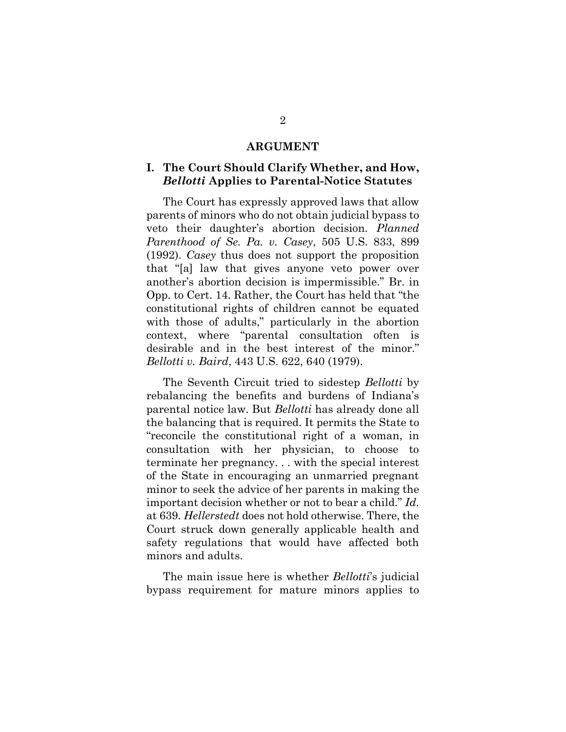#### <span id="page-5-1"></span>**ARGUMENT**

## <span id="page-5-0"></span>**I. The Court Should Clarify Whether, and How,**  *Bellotti* **Applies to Parental-Notice Statutes**

The Court has expressly approved laws that allow parents of minors who do not obtain judicial bypass to veto their daughter's abortion decision. *Planned Parenthood of Se. Pa. v. Casey*, 505 U.S. 833, 899 (1992). *Casey* thus does not support the proposition that "[a] law that gives anyone veto power over another's abortion decision is impermissible." Br. in Opp. to Cert. 14. Rather, the Court has held that "the constitutional rights of children cannot be equated with those of adults," particularly in the abortion context, where "parental consultation often is desirable and in the best interest of the minor." *Bellotti v. Baird*, 443 U.S. 622, 640 (1979).

The Seventh Circuit tried to sidestep *Bellotti* by rebalancing the benefits and burdens of Indiana's parental notice law. But *Bellotti* has already done all the balancing that is required. It permits the State to "reconcile the constitutional right of a woman, in consultation with her physician, to choose to terminate her pregnancy. . . with the special interest of the State in encouraging an unmarried pregnant minor to seek the advice of her parents in making the important decision whether or not to bear a child." *Id.* at 639. *Hellerstedt* does not hold otherwise. There, the Court struck down generally applicable health and safety regulations that would have affected both minors and adults.

The main issue here is whether *Bellotti*'s judicial bypass requirement for mature minors applies to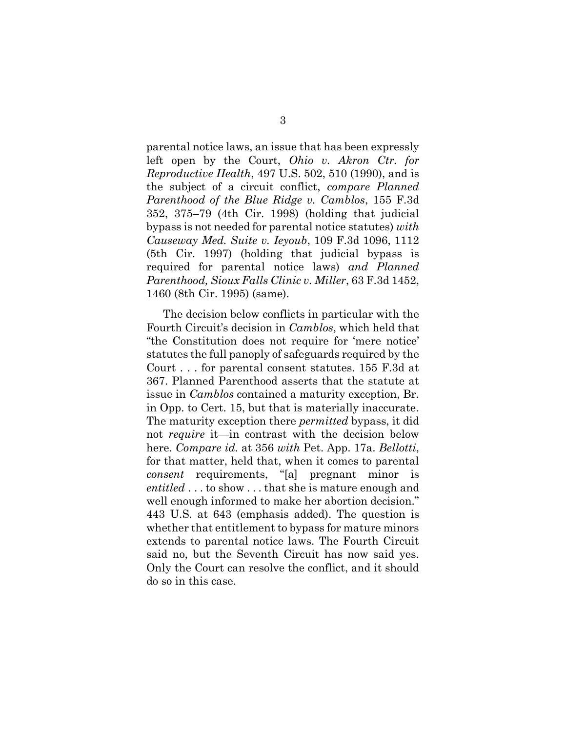<span id="page-6-3"></span><span id="page-6-2"></span>parental notice laws, an issue that has been expressly left open by the Court, *Ohio v. Akron Ctr. for Reproductive Health*, 497 U.S. 502, 510 (1990), and is the subject of a circuit conflict, *compare Planned Parenthood of the Blue Ridge v. Camblos*, 155 F.3d 352, 375–79 (4th Cir. 1998) (holding that judicial bypass is not needed for parental notice statutes) *with Causeway Med. Suite v. Ieyoub*, 109 F.3d 1096, 1112 (5th Cir. 1997) (holding that judicial bypass is required for parental notice laws) *and Planned Parenthood, Sioux Falls Clinic v. Miller*, 63 F.3d 1452, 1460 (8th Cir. 1995) (same).

<span id="page-6-4"></span><span id="page-6-1"></span><span id="page-6-0"></span>The decision below conflicts in particular with the Fourth Circuit's decision in *Camblos*, which held that "the Constitution does not require for 'mere notice' statutes the full panoply of safeguards required by the Court . . . for parental consent statutes. 155 F.3d at 367. Planned Parenthood asserts that the statute at issue in *Camblos* contained a maturity exception, Br. in Opp. to Cert. 15, but that is materially inaccurate. The maturity exception there *permitted* bypass, it did not *require* it—in contrast with the decision below here. *Compare id.* at 356 *with* Pet. App. 17a. *Bellotti*, for that matter, held that, when it comes to parental *consent* requirements, "[a] pregnant minor is *entitled* . . . to show . . . that she is mature enough and well enough informed to make her abortion decision." 443 U.S. at 643 (emphasis added). The question is whether that entitlement to bypass for mature minors extends to parental notice laws. The Fourth Circuit said no, but the Seventh Circuit has now said yes. Only the Court can resolve the conflict, and it should do so in this case.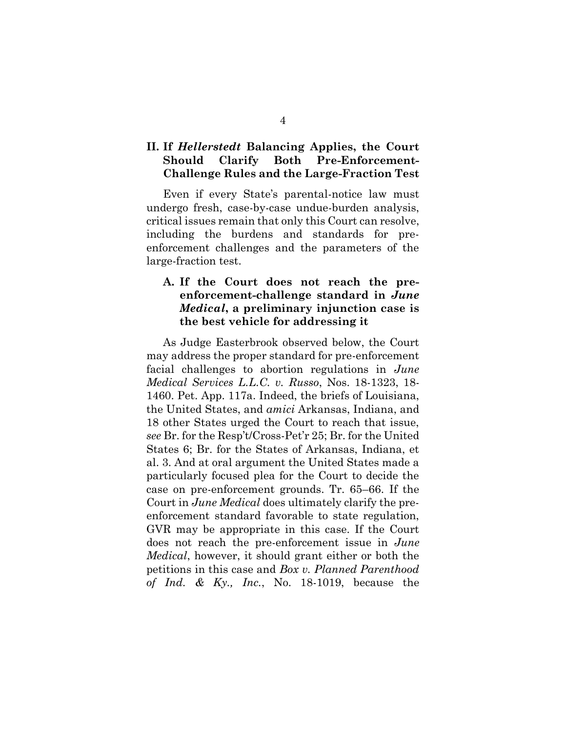## **II. If** *Hellerstedt* **Balancing Applies, the Court Should Clarify Both Pre-Enforcement-Challenge Rules and the Large-Fraction Test**

Even if every State's parental-notice law must undergo fresh, case-by-case undue-burden analysis, critical issues remain that only this Court can resolve, including the burdens and standards for preenforcement challenges and the parameters of the large-fraction test.

## <span id="page-7-1"></span>**A. If the Court does not reach the preenforcement-challenge standard in** *June Medical***, a preliminary injunction case is the best vehicle for addressing it**

<span id="page-7-0"></span>As Judge Easterbrook observed below, the Court may address the proper standard for pre-enforcement facial challenges to abortion regulations in *June Medical Services L.L.C. v. Russo*, Nos. 18-1323, 18- 1460. Pet. App. 117a. Indeed, the briefs of Louisiana, the United States, and *amici* Arkansas, Indiana, and 18 other States urged the Court to reach that issue, *see* Br. for the Resp't/Cross-Pet'r 25; Br. for the United States 6; Br. for the States of Arkansas, Indiana, et al. 3. And at oral argument the United States made a particularly focused plea for the Court to decide the case on pre-enforcement grounds. Tr. 65–66. If the Court in *June Medical* does ultimately clarify the preenforcement standard favorable to state regulation, GVR may be appropriate in this case. If the Court does not reach the pre-enforcement issue in *June Medical*, however, it should grant either or both the petitions in this case and *Box v. Planned Parenthood of Ind. & Ky., Inc.*, No. 18-1019, because the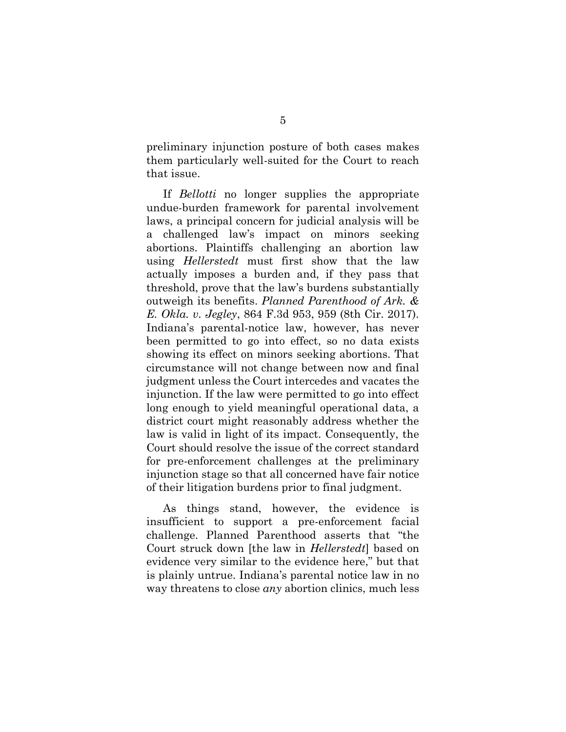preliminary injunction posture of both cases makes them particularly well-suited for the Court to reach that issue.

<span id="page-8-0"></span>If *Bellotti* no longer supplies the appropriate undue-burden framework for parental involvement laws, a principal concern for judicial analysis will be a challenged law's impact on minors seeking abortions. Plaintiffs challenging an abortion law using *Hellerstedt* must first show that the law actually imposes a burden and, if they pass that threshold, prove that the law's burdens substantially outweigh its benefits. *Planned Parenthood of Ark. & E. Okla. v. Jegley*, 864 F.3d 953, 959 (8th Cir. 2017). Indiana's parental-notice law, however, has never been permitted to go into effect, so no data exists showing its effect on minors seeking abortions. That circumstance will not change between now and final judgment unless the Court intercedes and vacates the injunction. If the law were permitted to go into effect long enough to yield meaningful operational data, a district court might reasonably address whether the law is valid in light of its impact. Consequently, the Court should resolve the issue of the correct standard for pre-enforcement challenges at the preliminary injunction stage so that all concerned have fair notice of their litigation burdens prior to final judgment.

As things stand, however, the evidence is insufficient to support a pre-enforcement facial challenge. Planned Parenthood asserts that "the Court struck down [the law in *Hellerstedt*] based on evidence very similar to the evidence here," but that is plainly untrue. Indiana's parental notice law in no way threatens to close *any* abortion clinics, much less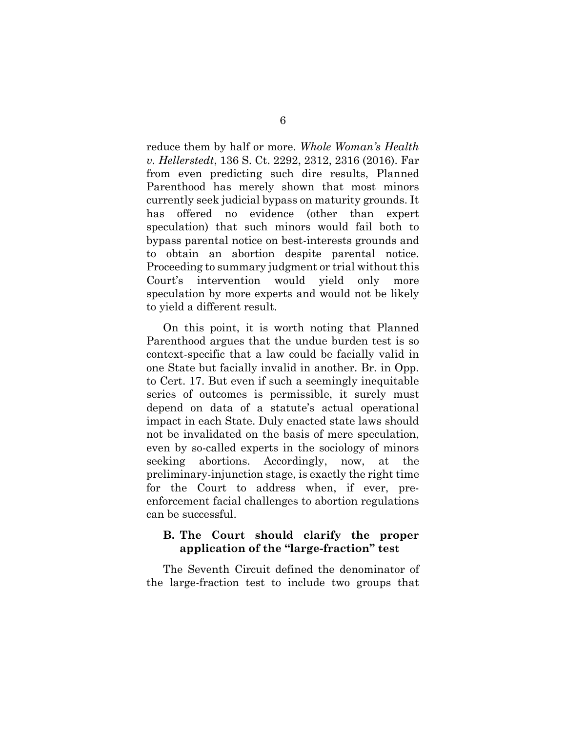reduce them by half or more. *Whole Woman's Health v. Hellerstedt*, 136 S. Ct. 2292, 2312, 2316 (2016). Far from even predicting such dire results, Planned Parenthood has merely shown that most minors currently seek judicial bypass on maturity grounds. It has offered no evidence (other than expert speculation) that such minors would fail both to bypass parental notice on best-interests grounds and to obtain an abortion despite parental notice. Proceeding to summary judgment or trial without this Court's intervention would yield only more speculation by more experts and would not be likely to yield a different result.

On this point, it is worth noting that Planned Parenthood argues that the undue burden test is so context-specific that a law could be facially valid in one State but facially invalid in another. Br. in Opp. to Cert. 17. But even if such a seemingly inequitable series of outcomes is permissible, it surely must depend on data of a statute's actual operational impact in each State. Duly enacted state laws should not be invalidated on the basis of mere speculation, even by so-called experts in the sociology of minors seeking abortions. Accordingly, now, at the preliminary-injunction stage, is exactly the right time for the Court to address when, if ever, preenforcement facial challenges to abortion regulations can be successful.

#### **B. The Court should clarify the proper application of the "large-fraction" test**

The Seventh Circuit defined the denominator of the large-fraction test to include two groups that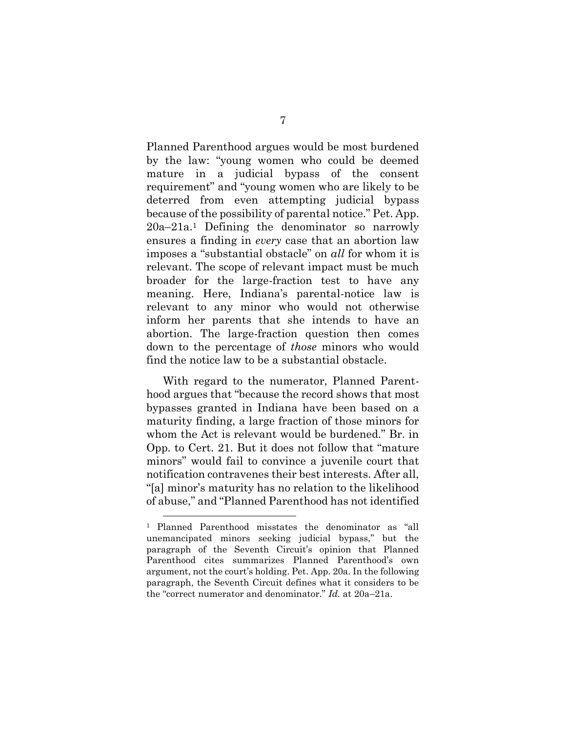Planned Parenthood argues would be most burdened by the law: "young women who could be deemed mature in a judicial bypass of the consent requirement" and "young women who are likely to be deterred from even attempting judicial bypass because of the possibility of parental notice." Pet. App. 20a–21a.<sup>1</sup> Defining the denominator so narrowly ensures a finding in *every* case that an abortion law imposes a "substantial obstacle" on *all* for whom it is relevant. The scope of relevant impact must be much broader for the large-fraction test to have any meaning. Here, Indiana's parental-notice law is relevant to any minor who would not otherwise inform her parents that she intends to have an abortion. The large-fraction question then comes down to the percentage of *those* minors who would find the notice law to be a substantial obstacle.

With regard to the numerator, Planned Parenthood argues that "because the record shows that most bypasses granted in Indiana have been based on a maturity finding, a large fraction of those minors for whom the Act is relevant would be burdened." Br. in Opp. to Cert. 21. But it does not follow that "mature minors" would fail to convince a juvenile court that notification contravenes their best interests. After all, "[a] minor's maturity has no relation to the likelihood of abuse," and "Planned Parenthood has not identified

<sup>1</sup> Planned Parenthood misstates the denominator as "all unemancipated minors seeking judicial bypass," but the paragraph of the Seventh Circuit's opinion that Planned Parenthood cites summarizes Planned Parenthood's own argument, not the court's holding. Pet. App. 20a. In the following paragraph, the Seventh Circuit defines what it considers to be the "correct numerator and denominator." *Id.* at 20a–21a.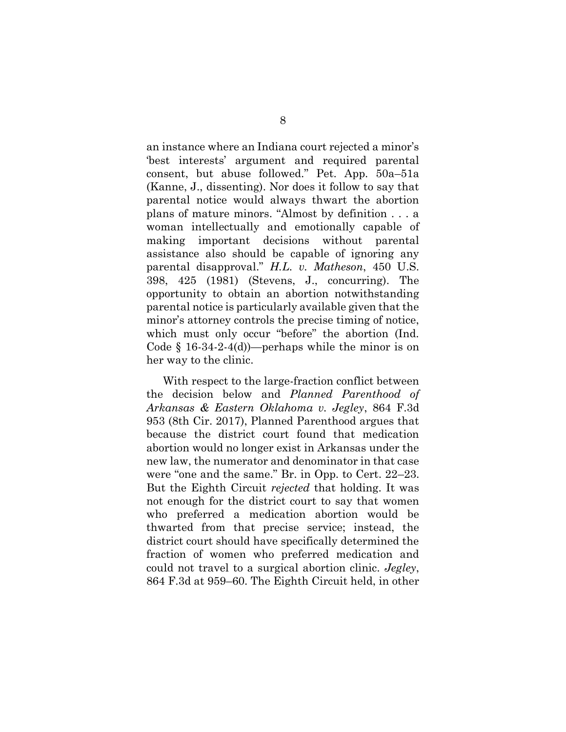an instance where an Indiana court rejected a minor's 'best interests' argument and required parental consent, but abuse followed." Pet. App. 50a–51a (Kanne, J., dissenting). Nor does it follow to say that parental notice would always thwart the abortion plans of mature minors. "Almost by definition . . . a woman intellectually and emotionally capable of making important decisions without parental assistance also should be capable of ignoring any parental disapproval." *H.L. v. Matheson*, 450 U.S. 398, 425 (1981) (Stevens, J., concurring). The opportunity to obtain an abortion notwithstanding parental notice is particularly available given that the minor's attorney controls the precise timing of notice, which must only occur "before" the abortion (Ind. Code  $\S$  16-34-2-4(d))—perhaps while the minor is on her way to the clinic.

<span id="page-11-2"></span><span id="page-11-1"></span><span id="page-11-0"></span>With respect to the large-fraction conflict between the decision below and *Planned Parenthood of Arkansas & Eastern Oklahoma v. Jegley*, 864 F.3d 953 (8th Cir. 2017), Planned Parenthood argues that because the district court found that medication abortion would no longer exist in Arkansas under the new law, the numerator and denominator in that case were "one and the same." Br. in Opp. to Cert. 22–23. But the Eighth Circuit *rejected* that holding. It was not enough for the district court to say that women who preferred a medication abortion would be thwarted from that precise service; instead, the district court should have specifically determined the fraction of women who preferred medication and could not travel to a surgical abortion clinic. *Jegley*, 864 F.3d at 959–60. The Eighth Circuit held, in other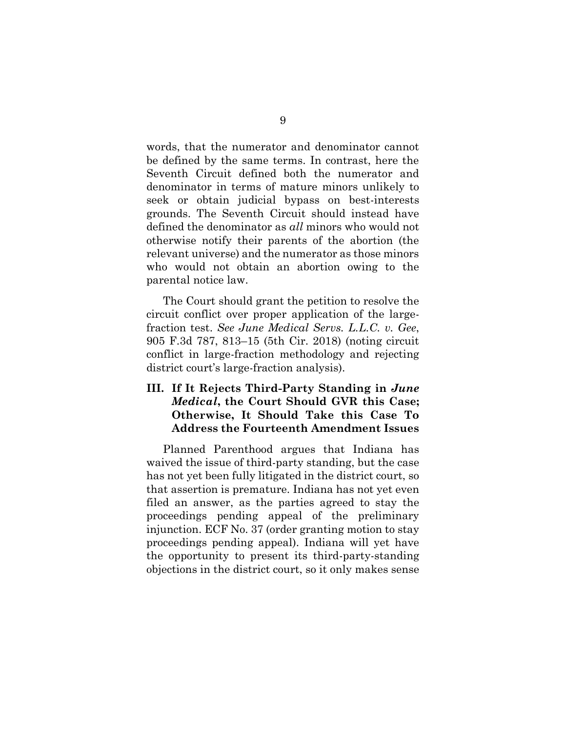words, that the numerator and denominator cannot be defined by the same terms. In contrast, here the Seventh Circuit defined both the numerator and denominator in terms of mature minors unlikely to seek or obtain judicial bypass on best-interests grounds. The Seventh Circuit should instead have defined the denominator as *all* minors who would not otherwise notify their parents of the abortion (the relevant universe) and the numerator as those minors who would not obtain an abortion owing to the parental notice law.

<span id="page-12-0"></span>The Court should grant the petition to resolve the circuit conflict over proper application of the largefraction test. *See June Medical Servs. L.L.C. v. Gee*, 905 F.3d 787, 813–15 (5th Cir. 2018) (noting circuit conflict in large-fraction methodology and rejecting district court's large-fraction analysis).

## **III. If It Rejects Third-Party Standing in** *June Medical***, the Court Should GVR this Case; Otherwise, It Should Take this Case To Address the Fourteenth Amendment Issues**

Planned Parenthood argues that Indiana has waived the issue of third-party standing, but the case has not yet been fully litigated in the district court, so that assertion is premature. Indiana has not yet even filed an answer, as the parties agreed to stay the proceedings pending appeal of the preliminary injunction. ECF No. 37 (order granting motion to stay proceedings pending appeal). Indiana will yet have the opportunity to present its third-party-standing objections in the district court, so it only makes sense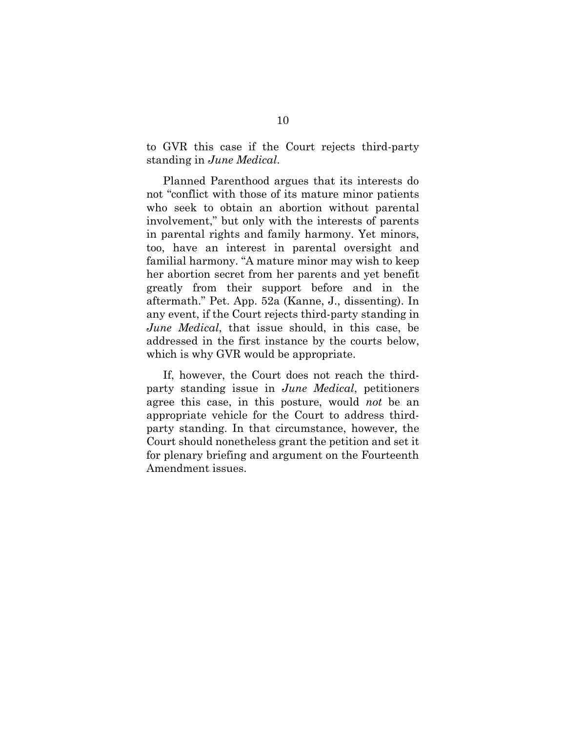to GVR this case if the Court rejects third-party standing in *June Medical*.

Planned Parenthood argues that its interests do not "conflict with those of its mature minor patients who seek to obtain an abortion without parental involvement," but only with the interests of parents in parental rights and family harmony. Yet minors, too, have an interest in parental oversight and familial harmony. "A mature minor may wish to keep her abortion secret from her parents and yet benefit greatly from their support before and in the aftermath." Pet. App. 52a (Kanne, J., dissenting). In any event, if the Court rejects third-party standing in *June Medical*, that issue should, in this case, be addressed in the first instance by the courts below, which is why GVR would be appropriate.

If, however, the Court does not reach the thirdparty standing issue in *June Medical*, petitioners agree this case, in this posture, would *not* be an appropriate vehicle for the Court to address thirdparty standing. In that circumstance, however, the Court should nonetheless grant the petition and set it for plenary briefing and argument on the Fourteenth Amendment issues.